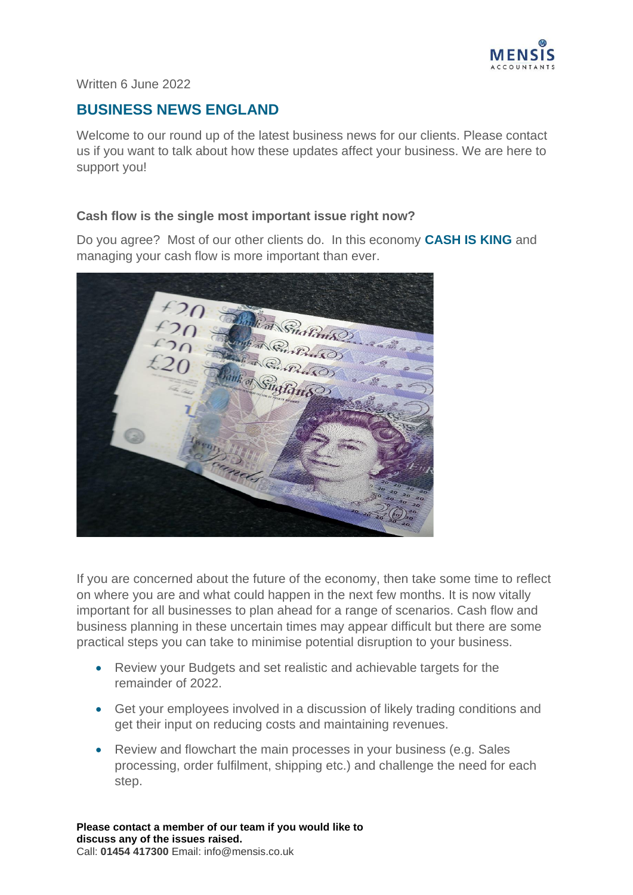

#### Written 6 June 2022

# **BUSINESS NEWS ENGLAND**

Welcome to our round up of the latest business news for our clients. Please contact us if you want to talk about how these updates affect your business. We are here to support you!

#### **Cash flow is the single most important issue right now?**

Do you agree? Most of our other clients do. In this economy **CASH IS KING** and managing your cash flow is more important than ever.



If you are concerned about the future of the economy, then take some time to reflect on where you are and what could happen in the next few months. It is now vitally important for all businesses to plan ahead for a range of scenarios. Cash flow and business planning in these uncertain times may appear difficult but there are some practical steps you can take to minimise potential disruption to your business.

- Review your Budgets and set realistic and achievable targets for the remainder of 2022.
- Get your employees involved in a discussion of likely trading conditions and get their input on reducing costs and maintaining revenues.
- Review and flowchart the main processes in your business (e.g. Sales processing, order fulfilment, shipping etc.) and challenge the need for each step.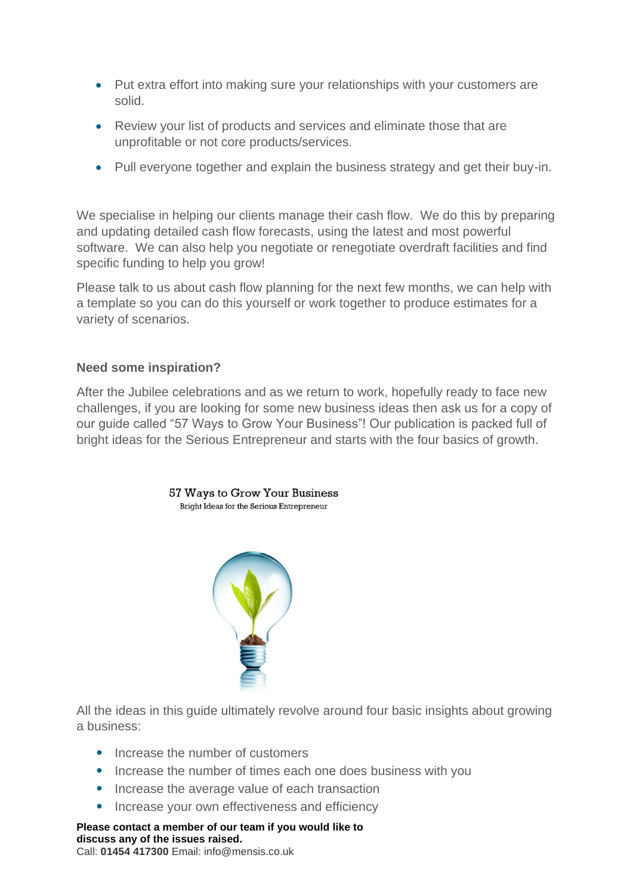- Put extra effort into making sure your relationships with your customers are solid.
- Review your list of products and services and eliminate those that are unprofitable or not core products/services.
- Pull everyone together and explain the business strategy and get their buy-in.

We specialise in helping our clients manage their cash flow. We do this by preparing and updating detailed cash flow forecasts, using the latest and most powerful software. We can also help you negotiate or renegotiate overdraft facilities and find specific funding to help you grow!

Please talk to us about cash flow planning for the next few months, we can help with a template so you can do this yourself or work together to produce estimates for a variety of scenarios.

#### **Need some inspiration?**

After the Jubilee celebrations and as we return to work, hopefully ready to face new challenges, if you are looking for some new business ideas then ask us for a copy of our guide called "57 Ways to Grow Your Business"! Our publication is packed full of bright ideas for the Serious Entrepreneur and starts with the four basics of growth.

### 57 Ways to Grow Your Business Bright Ideas for the Serious Entrepreneur



All the ideas in this guide ultimately revolve around four basic insights about growing a business:

- Increase the number of customers
- Increase the number of times each one does business with you
- Increase the average value of each transaction
- Increase your own effectiveness and efficiency

**Please contact a member of our team if you would like to discuss any of the issues raised.**  Call: **01454 417300** Email: info@mensis.co.uk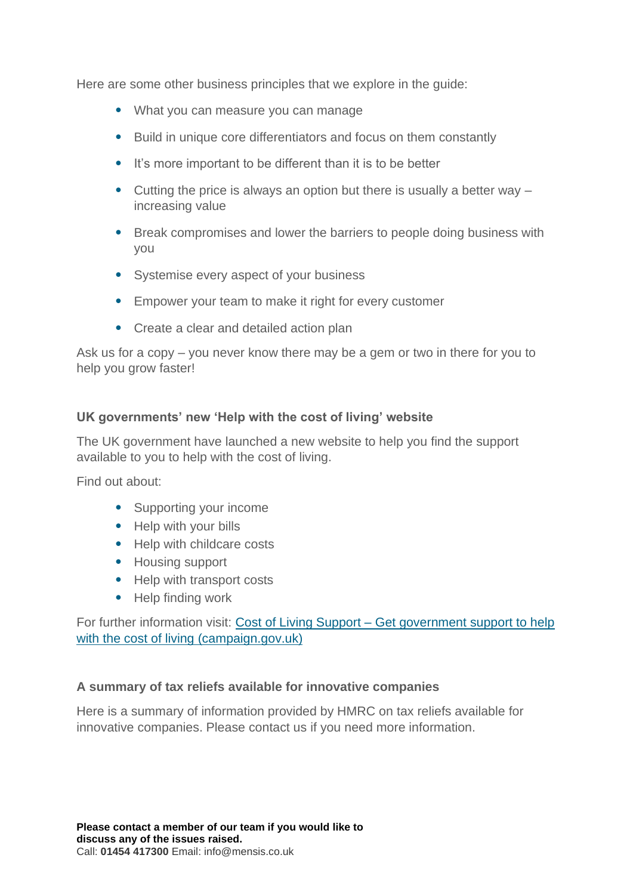Here are some other business principles that we explore in the guide:

- What you can measure you can manage
- Build in unique core differentiators and focus on them constantly
- It's more important to be different than it is to be better
- Cutting the price is always an option but there is usually a better way increasing value
- Break compromises and lower the barriers to people doing business with you
- Systemise every aspect of your business
- Empower your team to make it right for every customer
- Create a clear and detailed action plan

Ask us for a copy – you never know there may be a gem or two in there for you to help you grow faster!

## **UK governments' new 'Help with the cost of living' website**

The UK government have launched a new website to help you find the support available to you to help with the cost of living.

Find out about:

- Supporting your income
- Help with your bills
- Help with childcare costs
- Housing support
- Help with transport costs
- Help finding work

For further information visit: Cost of Living Support – [Get government support to help](https://costoflivingsupport.campaign.gov.uk/)  [with the cost of living \(campaign.gov.uk\)](https://costoflivingsupport.campaign.gov.uk/)

### **A summary of tax reliefs available for innovative companies**

Here is a summary of information provided by HMRC on tax reliefs available for innovative companies. Please contact us if you need more information.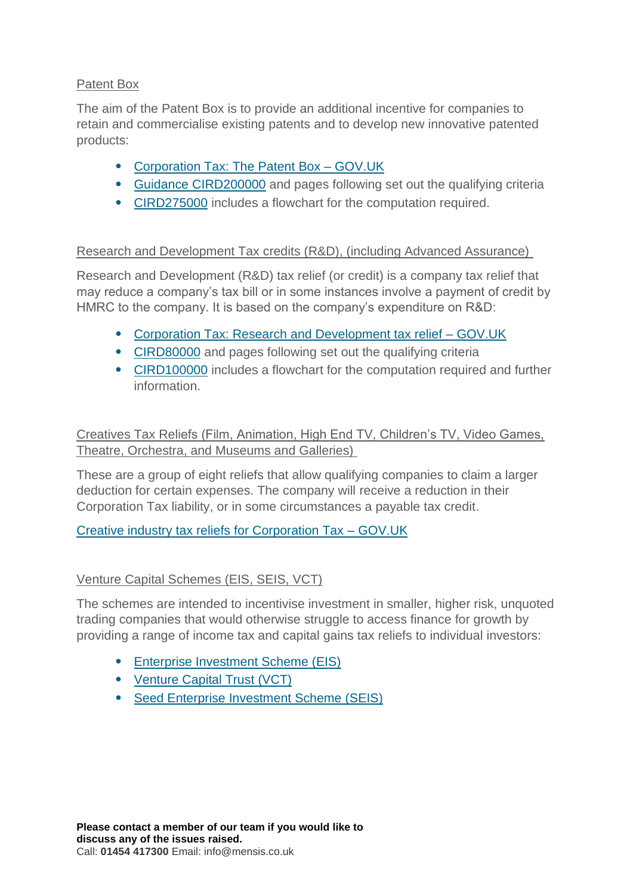## Patent Box

The aim of the Patent Box is to provide an additional incentive for companies to retain and commercialise existing patents and to develop new innovative patented products:

- [Corporation Tax: The](https://www.gov.uk/guidance/corporation-tax-the-patent-box) Patent Box GOV.UK
- [Guidance CIRD200000](https://www.gov.uk/hmrc-internal-manuals/corporate-intangibles-research-and-development-manual/cird200000) and pages following set out the qualifying criteria
- [CIRD275000](https://www.gov.uk/hmrc-internal-manuals/corporate-intangibles-research-and-development-manual/cird275000) includes a flowchart for the computation required.

### Research and Development Tax credits (R&D), (including Advanced Assurance)

Research and Development (R&D) tax relief (or credit) is a company tax relief that may reduce a company's tax bill or in some instances involve a payment of credit by HMRC to the company. It is based on the company's expenditure on R&D:

- [Corporation Tax: Research and Development tax relief –](https://www.gov.uk/guidance/corporation-tax-research-and-development-rd-relief) GOV.UK
- [CIRD80000](https://www.gov.uk/hmrc-internal-manuals/corporate-intangibles-research-and-development-manual/cird80000) and pages following set out the qualifying criteria
- [CIRD100000](https://www.gov.uk/hmrc-internal-manuals/corporate-intangibles-research-and-development-manual/cird100000) includes a flowchart for the computation required and further information.

Creatives Tax Reliefs (Film, Animation, High End TV, Children's TV, Video Games, Theatre, Orchestra, and Museums and Galleries)

These are a group of eight reliefs that allow qualifying companies to claim a larger deduction for certain expenses. The company will receive a reduction in their Corporation Tax liability, or in some circumstances a payable tax credit.

[Creative industry tax reliefs for Corporation Tax –](https://www.gov.uk/guidance/corporation-tax-creative-industry-tax-reliefs) GOV.UK

### Venture Capital Schemes (EIS, SEIS, VCT)

The schemes are intended to incentivise investment in smaller, higher risk, unquoted trading companies that would otherwise struggle to access finance for growth by providing a range of income tax and capital gains tax reliefs to individual investors:

- [Enterprise Investment Scheme \(EIS\)](https://www.gov.uk/hmrc-internal-manuals/venture-capital-schemes-manual/vcm10000)
- [Venture Capital Trust \(VCT\)](https://www.gov.uk/hmrc-internal-manuals/venture-capital-schemes-manual/vcm50000)
- [Seed Enterprise Investment Scheme \(SEIS\)](https://www.gov.uk/hmrc-internal-manuals/venture-capital-schemes-manual/vcm30000)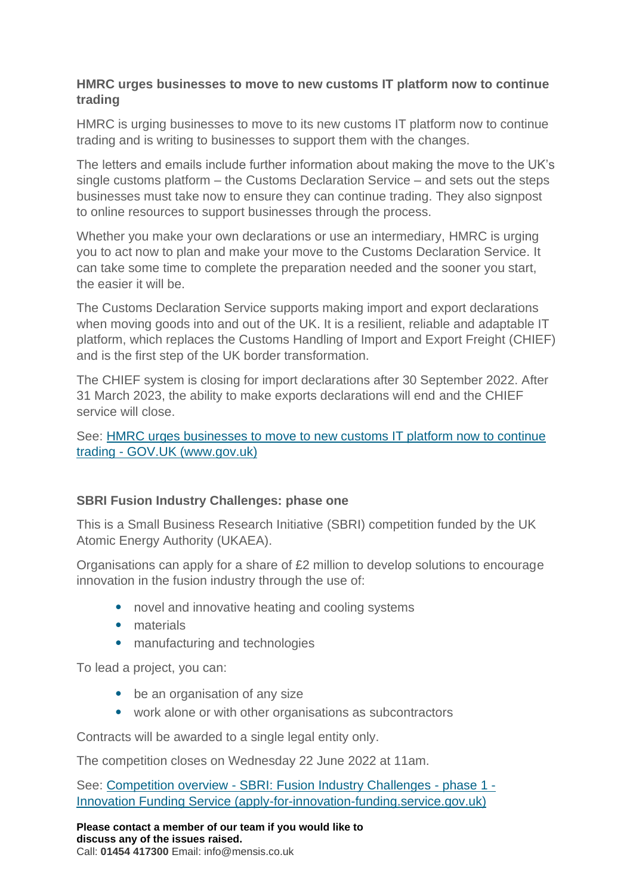#### **HMRC urges businesses to move to new customs IT platform now to continue trading**

HMRC is urging businesses to move to its new customs IT platform now to continue trading and is writing to businesses to support them with the changes.

The letters and emails include further information about making the move to the UK's single customs platform – the Customs Declaration Service – and sets out the steps businesses must take now to ensure they can continue trading. They also signpost to online resources to support businesses through the process.

Whether you make your own declarations or use an intermediary, HMRC is urging you to act now to plan and make your move to the Customs Declaration Service. It can take some time to complete the preparation needed and the sooner you start, the easier it will be.

The Customs Declaration Service supports making import and export declarations when moving goods into and out of the UK. It is a resilient, reliable and adaptable IT platform, which replaces the Customs Handling of Import and Export Freight (CHIEF) and is the first step of the UK border transformation.

The CHIEF system is closing for import declarations after 30 September 2022. After 31 March 2023, the ability to make exports declarations will end and the CHIEF service will close.

See: [HMRC urges businesses to move to new customs IT platform now to continue](https://www.gov.uk/government/news/hmrc-urges-businesses-to-move-to-new-customs-it-platform-now-to-continue-trading)  trading - [GOV.UK \(www.gov.uk\)](https://www.gov.uk/government/news/hmrc-urges-businesses-to-move-to-new-customs-it-platform-now-to-continue-trading)

### **SBRI Fusion Industry Challenges: phase one**

This is a Small Business Research Initiative (SBRI) competition funded by the UK Atomic Energy Authority (UKAEA).

Organisations can apply for a share of £2 million to develop solutions to encourage innovation in the fusion industry through the use of:

- novel and innovative heating and cooling systems
- materials
- manufacturing and technologies

To lead a project, you can:

- be an organisation of any size
- work alone or with other organisations as subcontractors

Contracts will be awarded to a single legal entity only.

The competition closes on Wednesday 22 June 2022 at 11am.

See: Competition overview - [SBRI: Fusion Industry Challenges -](https://apply-for-innovation-funding.service.gov.uk/competition/1156/overview) phase 1 - [Innovation Funding Service \(apply-for-innovation-funding.service.gov.uk\)](https://apply-for-innovation-funding.service.gov.uk/competition/1156/overview)

**Please contact a member of our team if you would like to discuss any of the issues raised.**  Call: **01454 417300** Email: info@mensis.co.uk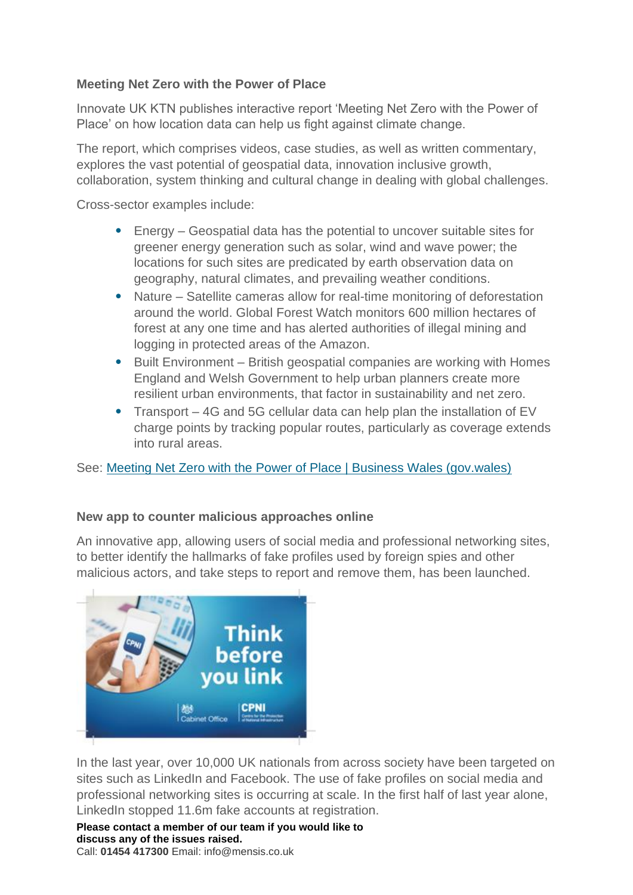## **Meeting Net Zero with the Power of Place**

Innovate UK KTN publishes interactive report 'Meeting Net Zero with the Power of Place' on how location data can help us fight against climate change.

The report, which comprises videos, case studies, as well as written commentary, explores the vast potential of geospatial data, innovation inclusive growth, collaboration, system thinking and cultural change in dealing with global challenges.

Cross-sector examples include:

- Energy Geospatial data has the potential to uncover suitable sites for greener energy generation such as solar, wind and wave power; the locations for such sites are predicated by earth observation data on geography, natural climates, and prevailing weather conditions.
- Nature Satellite cameras allow for real-time monitoring of deforestation around the world. Global Forest Watch monitors 600 million hectares of forest at any one time and has alerted authorities of illegal mining and logging in protected areas of the Amazon.
- Built Environment British geospatial companies are working with Homes England and Welsh Government to help urban planners create more resilient urban environments, that factor in sustainability and net zero.
- Transport 4G and 5G cellular data can help plan the installation of EV charge points by tracking popular routes, particularly as coverage extends into rural areas.

See: [Meeting Net Zero with the Power of Place | Business Wales \(gov.wales\)](https://businesswales.gov.wales/news-and-blogs/news/meeting-net-zero-power-place)

### **New app to counter malicious approaches online**

An innovative app, allowing users of social media and professional networking sites, to better identify the hallmarks of fake profiles used by foreign spies and other malicious actors, and take steps to report and remove them, has been launched.



In the last year, over 10,000 UK nationals from across society have been targeted on sites such as LinkedIn and Facebook. The use of fake profiles on social media and professional networking sites is occurring at scale. In the first half of last year alone, LinkedIn stopped 11.6m fake accounts at registration.

**Please contact a member of our team if you would like to discuss any of the issues raised.**  Call: **01454 417300** Email: info@mensis.co.uk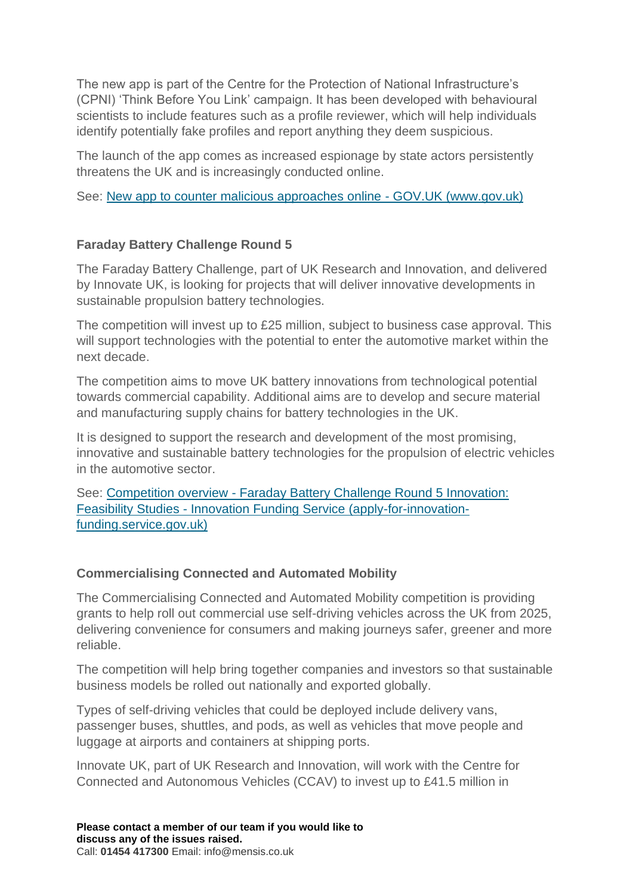The new app is part of the Centre for the Protection of National Infrastructure's (CPNI) 'Think Before You Link' campaign. It has been developed with behavioural scientists to include features such as a profile reviewer, which will help individuals identify potentially fake profiles and report anything they deem suspicious.

The launch of the app comes as increased espionage by state actors persistently threatens the UK and is increasingly conducted online.

See: [New app to counter malicious approaches online -](https://www.gov.uk/government/news/new-app-to-counter-malicious-approaches-online) GOV.UK (www.gov.uk)

## **Faraday Battery Challenge Round 5**

The Faraday Battery Challenge, part of UK Research and Innovation, and delivered by Innovate UK, is looking for projects that will deliver innovative developments in sustainable propulsion battery technologies.

The competition will invest up to £25 million, subject to business case approval. This will support technologies with the potential to enter the automotive market within the next decade.

The competition aims to move UK battery innovations from technological potential towards commercial capability. Additional aims are to develop and secure material and manufacturing supply chains for battery technologies in the UK.

It is designed to support the research and development of the most promising, innovative and sustainable battery technologies for the propulsion of electric vehicles in the automotive sector.

See: Competition overview - [Faraday Battery Challenge Round 5 Innovation:](https://apply-for-innovation-funding.service.gov.uk/competition/1184/overview)  Feasibility Studies - [Innovation Funding Service \(apply-for-innovation](https://apply-for-innovation-funding.service.gov.uk/competition/1184/overview)[funding.service.gov.uk\)](https://apply-for-innovation-funding.service.gov.uk/competition/1184/overview)

### **Commercialising Connected and Automated Mobility**

The Commercialising Connected and Automated Mobility competition is providing grants to help roll out commercial use self-driving vehicles across the UK from 2025, delivering convenience for consumers and making journeys safer, greener and more reliable.

The competition will help bring together companies and investors so that sustainable business models be rolled out nationally and exported globally.

Types of self-driving vehicles that could be deployed include delivery vans, passenger buses, shuttles, and pods, as well as vehicles that move people and luggage at airports and containers at shipping ports.

Innovate UK, part of UK Research and Innovation, will work with the Centre for Connected and Autonomous Vehicles (CCAV) to invest up to £41.5 million in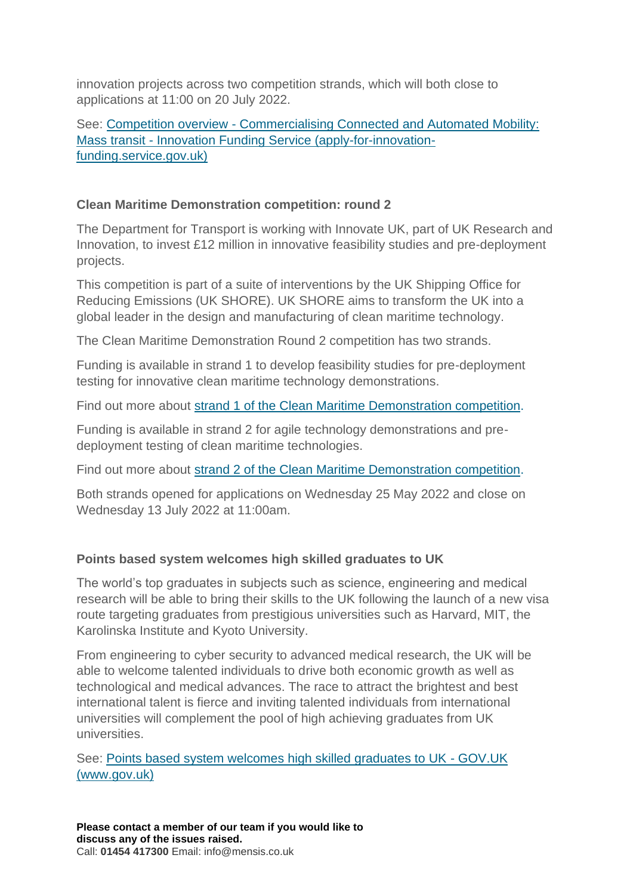innovation projects across two competition strands, which will both close to applications at 11:00 on 20 July 2022.

See: Competition overview - [Commercialising Connected and Automated Mobility:](https://www.gov.uk/government/news/self-driving-buses-shuttles-and-delivery-vans-could-soon-hit-uk-roads-thanks-to-40-million-government-funded-competition)  Mass transit - [Innovation Funding Service \(apply-for-innovation](https://www.gov.uk/government/news/self-driving-buses-shuttles-and-delivery-vans-could-soon-hit-uk-roads-thanks-to-40-million-government-funded-competition)[funding.service.gov.uk\)](https://www.gov.uk/government/news/self-driving-buses-shuttles-and-delivery-vans-could-soon-hit-uk-roads-thanks-to-40-million-government-funded-competition)

### **Clean Maritime Demonstration competition: round 2**

The Department for Transport is working with Innovate UK, part of UK Research and Innovation, to invest £12 million in innovative feasibility studies and pre-deployment projects.

This competition is part of a suite of interventions by the UK Shipping Office for Reducing Emissions (UK SHORE). UK SHORE aims to transform the UK into a global leader in the design and manufacturing of clean maritime technology.

The Clean Maritime Demonstration Round 2 competition has two strands.

Funding is available in strand 1 to develop feasibility studies for pre-deployment testing for innovative clean maritime technology demonstrations.

Find out more about [strand 1 of the Clean Maritime Demonstration competition.](https://apply-for-innovation-funding.service.gov.uk/competition/1190/overview)

Funding is available in strand 2 for agile technology demonstrations and predeployment testing of clean maritime technologies.

Find out more about [strand 2 of the Clean Maritime Demonstration competition.](https://apply-for-innovation-funding.service.gov.uk/competition/1191/overview)

Both strands opened for applications on Wednesday 25 May 2022 and close on Wednesday 13 July 2022 at 11:00am.

## **Points based system welcomes high skilled graduates to UK**

The world's top graduates in subjects such as science, engineering and medical research will be able to bring their skills to the UK following the launch of a new visa route targeting graduates from prestigious universities such as Harvard, MIT, the Karolinska Institute and Kyoto University.

From engineering to cyber security to advanced medical research, the UK will be able to welcome talented individuals to drive both economic growth as well as technological and medical advances. The race to attract the brightest and best international talent is fierce and inviting talented individuals from international universities will complement the pool of high achieving graduates from UK universities.

See: [Points based system welcomes high skilled graduates to UK -](https://www.gov.uk/government/news/points-based-system-welcomes-high-skilled-graduates-to-uk) GOV.UK [\(www.gov.uk\)](https://www.gov.uk/government/news/points-based-system-welcomes-high-skilled-graduates-to-uk)